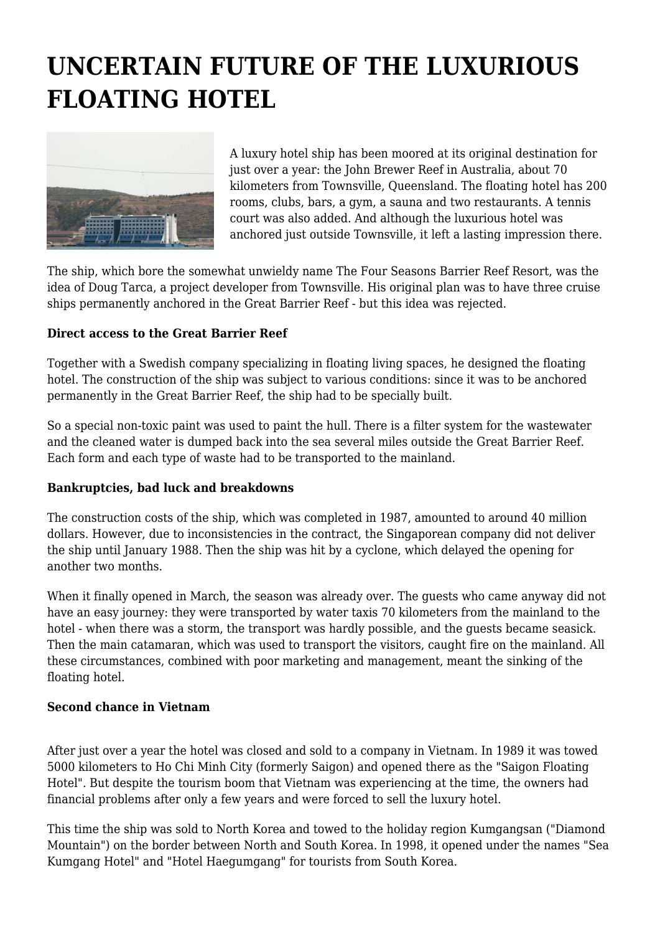# **UNCERTAIN FUTURE OF THE LUXURIOUS FLOATING HOTEL**



A luxury hotel ship has been moored at its original destination for just over a year: the John Brewer Reef in Australia, about 70 kilometers from Townsville, Queensland. The floating hotel has 200 rooms, clubs, bars, a gym, a sauna and two restaurants. A tennis court was also added. And although the luxurious hotel was anchored just outside Townsville, it left a lasting impression there.

The ship, which bore the somewhat unwieldy name The Four Seasons Barrier Reef Resort, was the idea of Doug Tarca, a project developer from Townsville. His original plan was to have three cruise ships permanently anchored in the Great Barrier Reef - but this idea was rejected.

## **Direct access to the Great Barrier Reef**

Together with a Swedish company specializing in floating living spaces, he designed the floating hotel. The construction of the ship was subject to various conditions: since it was to be anchored permanently in the Great Barrier Reef, the ship had to be specially built.

So a special non-toxic paint was used to paint the hull. There is a filter system for the wastewater and the cleaned water is dumped back into the sea several miles outside the Great Barrier Reef. Each form and each type of waste had to be transported to the mainland.

## **Bankruptcies, bad luck and breakdowns**

The construction costs of the ship, which was completed in 1987, amounted to around 40 million dollars. However, due to inconsistencies in the contract, the Singaporean company did not deliver the ship until January 1988. Then the ship was hit by a cyclone, which delayed the opening for another two months.

When it finally opened in March, the season was already over. The guests who came anyway did not have an easy journey: they were transported by water taxis 70 kilometers from the mainland to the hotel - when there was a storm, the transport was hardly possible, and the guests became seasick. Then the main catamaran, which was used to transport the visitors, caught fire on the mainland. All these circumstances, combined with poor marketing and management, meant the sinking of the floating hotel.

## **Second chance in Vietnam**

After just over a year the hotel was closed and sold to a company in Vietnam. In 1989 it was towed 5000 kilometers to Ho Chi Minh City (formerly Saigon) and opened there as the "Saigon Floating Hotel". But despite the tourism boom that Vietnam was experiencing at the time, the owners had financial problems after only a few years and were forced to sell the luxury hotel.

This time the ship was sold to North Korea and towed to the holiday region Kumgangsan ("Diamond Mountain") on the border between North and South Korea. In 1998, it opened under the names "Sea Kumgang Hotel" and "Hotel Haegumgang" for tourists from South Korea.